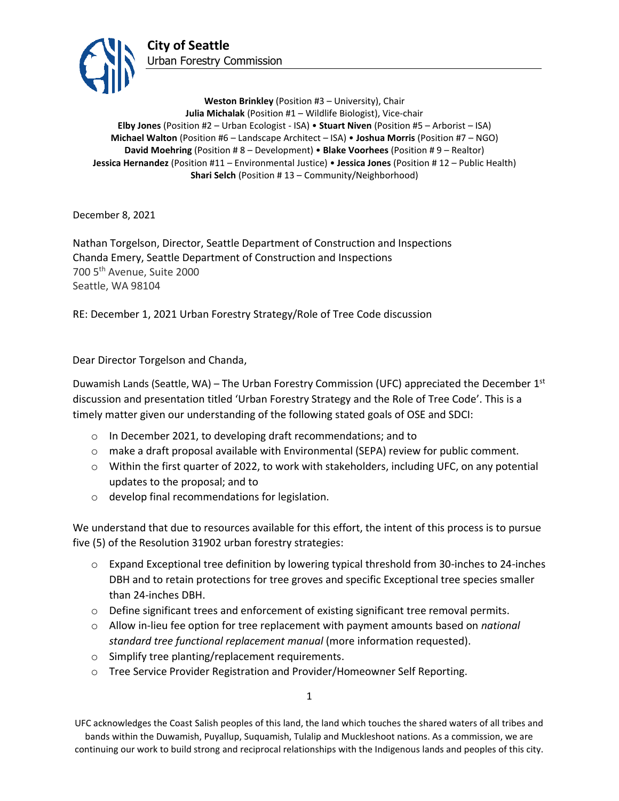

**Weston Brinkley** (Position #3 – University), Chair **Julia Michalak** (Position #1 – Wildlife Biologist), Vice-chair **Elby Jones** (Position #2 – Urban Ecologist - ISA) • **Stuart Niven** (Position #5 – Arborist – ISA) **Michael Walton** (Position #6 – Landscape Architect – ISA) • **Joshua Morris** (Position #7 – NGO) **David Moehring** (Position # 8 – Development) • **Blake Voorhees** (Position # 9 – Realtor) **Jessica Hernandez** (Position #11 – Environmental Justice) • **Jessica Jones** (Position # 12 – Public Health) **Shari Selch** (Position #13 – Community/Neighborhood)

December 8, 2021

Nathan Torgelson, Director, Seattle Department of Construction and Inspections Chanda Emery, Seattle Department of Construction and Inspections 700 5th Avenue, Suite 2000 Seattle, WA 98104

RE: December 1, 2021 Urban Forestry Strategy/Role of Tree Code discussion

Dear Director Torgelson and Chanda,

Duwamish Lands (Seattle, WA) – The Urban Forestry Commission (UFC) appreciated the December  $1<sup>st</sup>$ discussion and presentation titled 'Urban Forestry Strategy and the Role of Tree Code'. This is a timely matter given our understanding of the following stated goals of OSE and SDCI:

- o In December 2021, to developing draft recommendations; and to
- $\circ$  make a draft proposal available with Environmental (SEPA) review for public comment.
- $\circ$  Within the first quarter of 2022, to work with stakeholders, including UFC, on any potential updates to the proposal; and to
- o develop final recommendations for legislation.

We understand that due to resources available for this effort, the intent of this process is to pursue five (5) of the Resolution 31902 urban forestry strategies:

- $\circ$  Expand Exceptional tree definition by lowering typical threshold from 30-inches to 24-inches DBH and to retain protections for tree groves and specific Exceptional tree species smaller than 24-inches DBH.
- o Define significant trees and enforcement of existing significant tree removal permits.
- o Allow in-lieu fee option for tree replacement with payment amounts based on *national standard tree functional replacement manual* (more information requested).
- o Simplify tree planting/replacement requirements.
- o Tree Service Provider Registration and Provider/Homeowner Self Reporting.

1

UFC acknowledges the Coast Salish peoples of this land, the land which touches the shared waters of all tribes and bands within the Duwamish, Puyallup, Suquamish, Tulalip and Muckleshoot nations. As a commission, we are continuing our work to build strong and reciprocal relationships with the Indigenous lands and peoples of this city.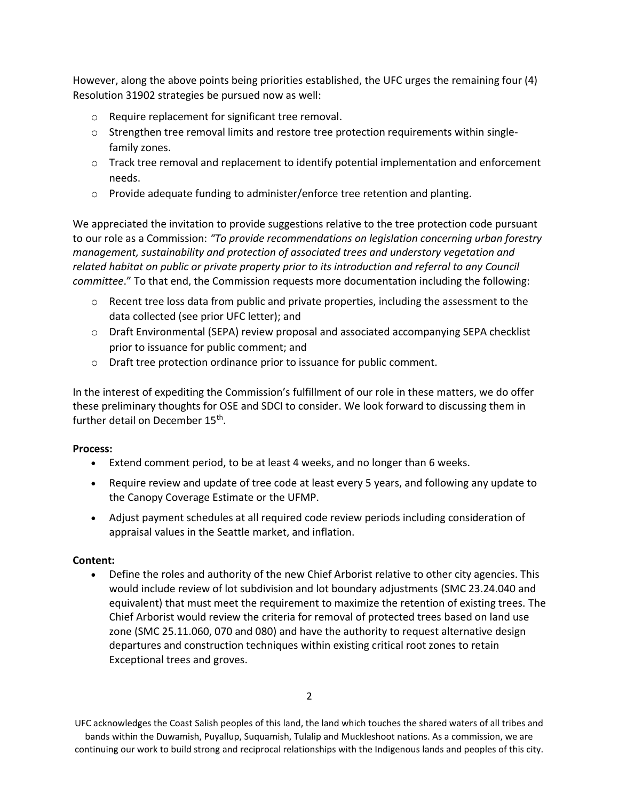However, along the above points being priorities established, the UFC urges the remaining four (4) Resolution 31902 strategies be pursued now as well:

- o Require replacement for significant tree removal.
- $\circ$  Strengthen tree removal limits and restore tree protection requirements within singlefamily zones.
- $\circ$  Track tree removal and replacement to identify potential implementation and enforcement needs.
- $\circ$  Provide adequate funding to administer/enforce tree retention and planting.

We appreciated the invitation to provide suggestions relative to the tree protection code pursuant to our role as a Commission: *"To provide recommendations on legislation concerning urban forestry management, sustainability and protection of associated trees and understory vegetation and related habitat on public or private property prior to its introduction and referral to any Council committee*." To that end, the Commission requests more documentation including the following:

- $\circ$  Recent tree loss data from public and private properties, including the assessment to the data collected (see prior UFC letter); and
- o Draft Environmental (SEPA) review proposal and associated accompanying SEPA checklist prior to issuance for public comment; and
- o Draft tree protection ordinance prior to issuance for public comment.

In the interest of expediting the Commission's fulfillment of our role in these matters, we do offer these preliminary thoughts for OSE and SDCI to consider. We look forward to discussing them in further detail on December 15<sup>th</sup>.

## **Process:**

- Extend comment period, to be at least 4 weeks, and no longer than 6 weeks.
- Require review and update of tree code at least every 5 years, and following any update to the Canopy Coverage Estimate or the UFMP.
- Adjust payment schedules at all required code review periods including consideration of appraisal values in the Seattle market, and inflation.

## **Content:**

• Define the roles and authority of the new Chief Arborist relative to other city agencies. This would include review of lot subdivision and lot boundary adjustments (SMC 23.24.040 and equivalent) that must meet the requirement to maximize the retention of existing trees. The Chief Arborist would review the criteria for removal of protected trees based on land use zone (SMC 25.11.060, 070 and 080) and have the authority to request alternative design departures and construction techniques within existing critical root zones to retain Exceptional trees and groves.

UFC acknowledges the Coast Salish peoples of this land, the land which touches the shared waters of all tribes and bands within the Duwamish, Puyallup, Suquamish, Tulalip and Muckleshoot nations. As a commission, we are continuing our work to build strong and reciprocal relationships with the Indigenous lands and peoples of this city.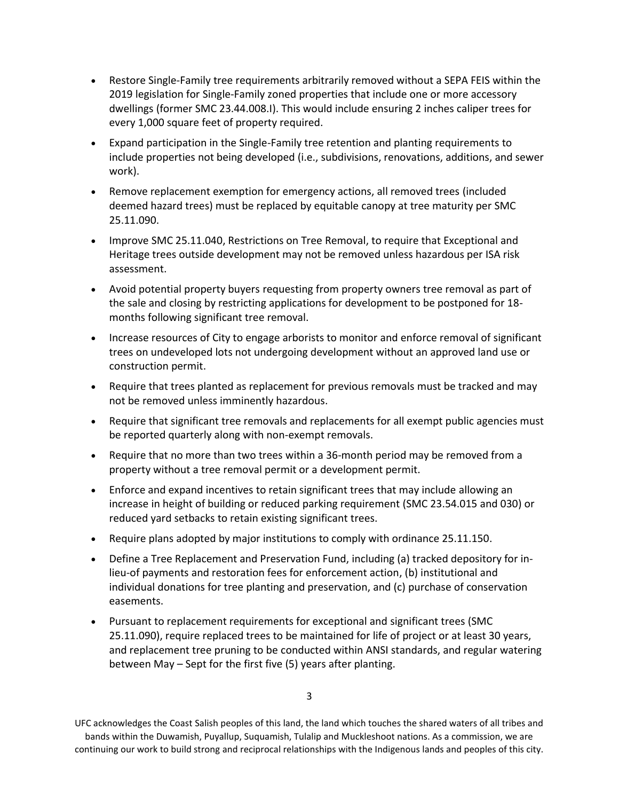- Restore Single-Family tree requirements arbitrarily removed without a SEPA FEIS within the 2019 legislation for Single-Family zoned properties that include one or more accessory dwellings (former SMC 23.44.008.I). This would include ensuring 2 inches caliper trees for every 1,000 square feet of property required.
- Expand participation in the Single-Family tree retention and planting requirements to include properties not being developed (i.e., subdivisions, renovations, additions, and sewer work).
- Remove replacement exemption for emergency actions, all removed trees (included deemed hazard trees) must be replaced by equitable canopy at tree maturity per SMC 25.11.090.
- Improve SMC 25.11.040, Restrictions on Tree Removal, to require that Exceptional and Heritage trees outside development may not be removed unless hazardous per ISA risk assessment.
- Avoid potential property buyers requesting from property owners tree removal as part of the sale and closing by restricting applications for development to be postponed for 18 months following significant tree removal.
- Increase resources of City to engage arborists to monitor and enforce removal of significant trees on undeveloped lots not undergoing development without an approved land use or construction permit.
- Require that trees planted as replacement for previous removals must be tracked and may not be removed unless imminently hazardous.
- Require that significant tree removals and replacements for all exempt public agencies must be reported quarterly along with non-exempt removals.
- Require that no more than two trees within a 36-month period may be removed from a property without a tree removal permit or a development permit.
- Enforce and expand incentives to retain significant trees that may include allowing an increase in height of building or reduced parking requirement (SMC 23.54.015 and 030) or reduced yard setbacks to retain existing significant trees.
- Require plans adopted by major institutions to comply with ordinance 25.11.150.
- Define a Tree Replacement and Preservation Fund, including (a) tracked depository for inlieu-of payments and restoration fees for enforcement action, (b) institutional and individual donations for tree planting and preservation, and (c) purchase of conservation easements.
- Pursuant to replacement requirements for exceptional and significant trees (SMC 25.11.090), require replaced trees to be maintained for life of project or at least 30 years, and replacement tree pruning to be conducted within ANSI standards, and regular watering between May – Sept for the first five (5) years after planting.

UFC acknowledges the Coast Salish peoples of this land, the land which touches the shared waters of all tribes and bands within the Duwamish, Puyallup, Suquamish, Tulalip and Muckleshoot nations. As a commission, we are continuing our work to build strong and reciprocal relationships with the Indigenous lands and peoples of this city.